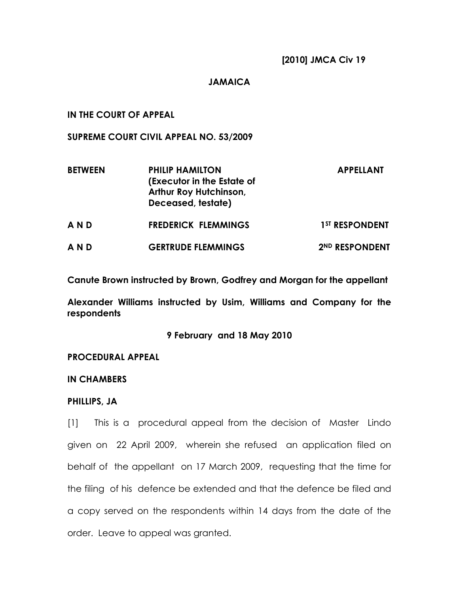## JAMAICA

## IN THE COURT OF APPEAL

SUPREME COURT CIVIL APPEAL NO. 53/2009

| <b>BETWEEN</b> | <b>PHILIP HAMILTON</b><br>(Executor in the Estate of<br><b>Arthur Roy Hutchinson,</b><br>Deceased, testate) | <b>APPELLANT</b>           |
|----------------|-------------------------------------------------------------------------------------------------------------|----------------------------|
| AND            | <b>FREDERICK FLEMMINGS</b>                                                                                  | 1 <sup>ST</sup> RESPONDENT |
| AND            | <b>GERTRUDE FLEMMINGS</b>                                                                                   | 2ND RESPONDENT             |

Canute Brown instructed by Brown, Godfrey and Morgan for the appellant

Alexander Williams instructed by Usim, Williams and Company for the respondents

9 February and 18 May 2010

#### PROCEDURAL APPEAL

## IN CHAMBERS

#### PHILLIPS, JA

[1] This is a procedural appeal from the decision of Master Lindo given on 22 April 2009, wherein she refused an application filed on behalf of the appellant on 17 March 2009, requesting that the time for the filing of his defence be extended and that the defence be filed and a copy served on the respondents within 14 days from the date of the order. Leave to appeal was granted.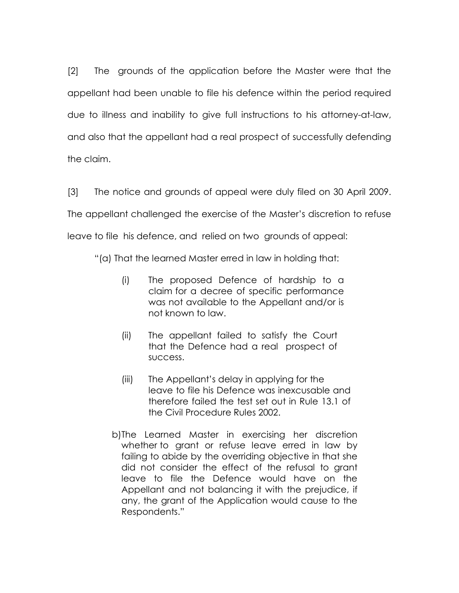[2] The grounds of the application before the Master were that the appellant had been unable to file his defence within the period required due to illness and inability to give full instructions to his attorney-at-law, and also that the appellant had a real prospect of successfully defending the claim.

[3] The notice and grounds of appeal were duly filed on 30 April 2009. The appellant challenged the exercise of the Master's discretion to refuse leave to file his defence, and relied on two grounds of appeal:

"(a) That the learned Master erred in law in holding that:

- (i) The proposed Defence of hardship to a claim for a decree of specific performance was not available to the Appellant and/or is not known to law.
- (ii) The appellant failed to satisfy the Court that the Defence had a real prospect of success.
- (iii) The Appellant's delay in applying for the leave to file his Defence was inexcusable and therefore failed the test set out in Rule 13.1 of the Civil Procedure Rules 2002.
- b) The Learned Master in exercising her discretion whether to grant or refuse leave erred in law by failing to abide by the overriding objective in that she did not consider the effect of the refusal to grant leave to file the Defence would have on the Appellant and not balancing it with the prejudice, if any, the grant of the Application would cause to the Respondents."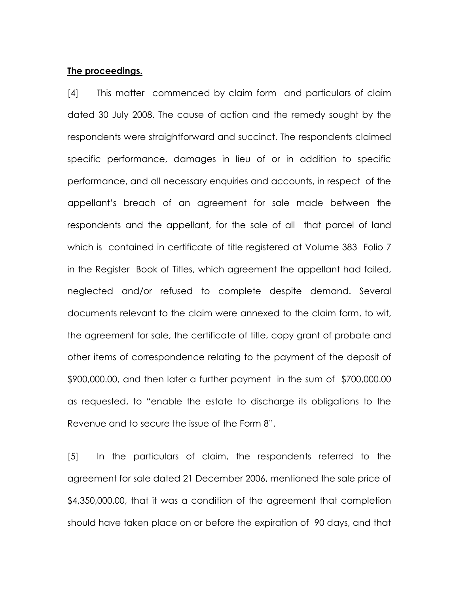#### The proceedings.

[4] This matter commenced by claim form and particulars of claim dated 30 July 2008. The cause of action and the remedy sought by the respondents were straightforward and succinct. The respondents claimed specific performance, damages in lieu of or in addition to specific performance, and all necessary enquiries and accounts, in respect of the appellant's breach of an agreement for sale made between the respondents and the appellant, for the sale of all that parcel of land which is contained in certificate of title registered at Volume 383 Folio 7 in the Register Book of Titles, which agreement the appellant had failed, neglected and/or refused to complete despite demand. Several documents relevant to the claim were annexed to the claim form, to wit, the agreement for sale, the certificate of title, copy grant of probate and other items of correspondence relating to the payment of the deposit of \$900,000.00, and then later a further payment in the sum of \$700,000.00 as requested, to "enable the estate to discharge its obligations to the Revenue and to secure the issue of the Form 8".

[5] In the particulars of claim, the respondents referred to the agreement for sale dated 21 December 2006, mentioned the sale price of \$4,350,000.00, that it was a condition of the agreement that completion should have taken place on or before the expiration of 90 days, and that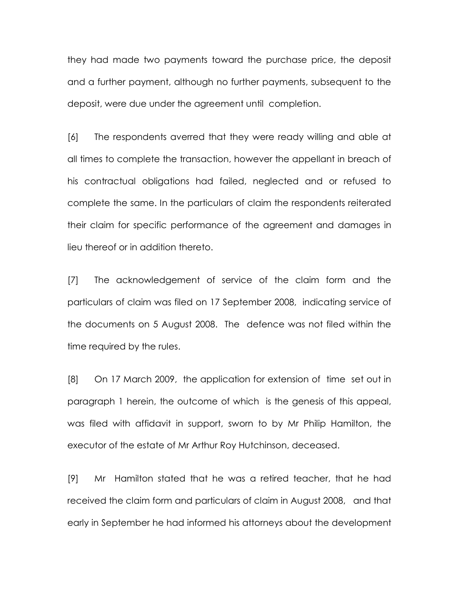they had made two payments toward the purchase price, the deposit and a further payment, although no further payments, subsequent to the deposit, were due under the agreement until completion.

[6] The respondents averred that they were ready willing and able at all times to complete the transaction, however the appellant in breach of his contractual obligations had failed, neglected and or refused to complete the same. In the particulars of claim the respondents reiterated their claim for specific performance of the agreement and damages in lieu thereof or in addition thereto.

[7] The acknowledgement of service of the claim form and the particulars of claim was filed on 17 September 2008, indicating service of the documents on 5 August 2008. The defence was not filed within the time required by the rules.

[8] On 17 March 2009, the application for extension of time set out in paragraph 1 herein, the outcome of which is the genesis of this appeal, was filed with affidavit in support, sworn to by Mr Philip Hamilton, the executor of the estate of Mr Arthur Roy Hutchinson, deceased.

[9] Mr Hamilton stated that he was a retired teacher, that he had received the claim form and particulars of claim in August 2008, and that early in September he had informed his attorneys about the development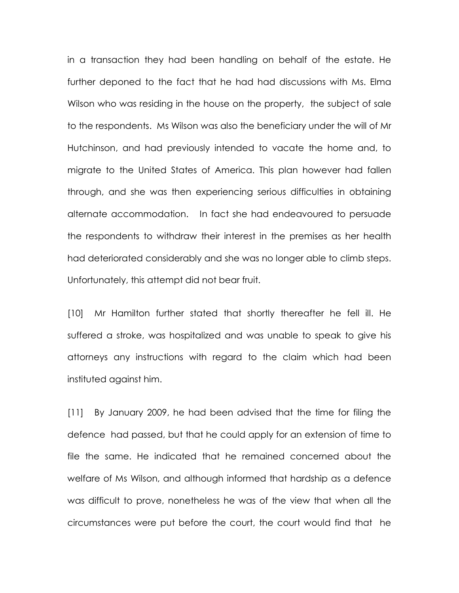in a transaction they had been handling on behalf of the estate. He further deponed to the fact that he had had discussions with Ms. Elma Wilson who was residing in the house on the property, the subject of sale to the respondents. Ms Wilson was also the beneficiary under the will of Mr Hutchinson, and had previously intended to vacate the home and, to migrate to the United States of America. This plan however had fallen through, and she was then experiencing serious difficulties in obtaining alternate accommodation. In fact she had endeavoured to persuade the respondents to withdraw their interest in the premises as her health had deteriorated considerably and she was no longer able to climb steps. Unfortunately, this attempt did not bear fruit.

[10] Mr Hamilton further stated that shortly thereafter he fell ill. He suffered a stroke, was hospitalized and was unable to speak to give his attorneys any instructions with regard to the claim which had been instituted against him.

[11] By January 2009, he had been advised that the time for filing the defence had passed, but that he could apply for an extension of time to file the same. He indicated that he remained concerned about the welfare of Ms Wilson, and although informed that hardship as a defence was difficult to prove, nonetheless he was of the view that when all the circumstances were put before the court, the court would find that he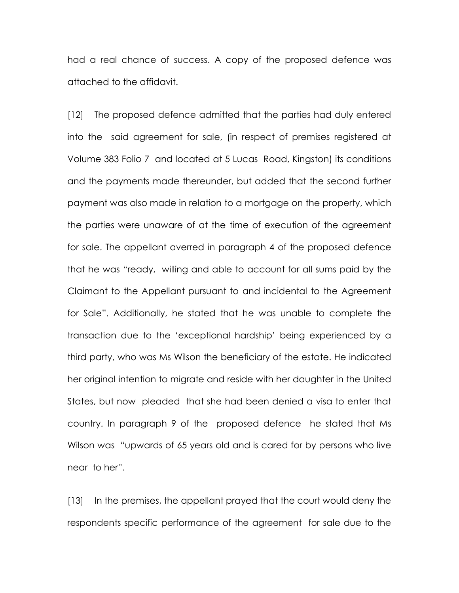had a real chance of success. A copy of the proposed defence was attached to the affidavit.

[12] The proposed defence admitted that the parties had duly entered into the said agreement for sale, (in respect of premises registered at Volume 383 Folio 7 and located at 5 Lucas Road, Kingston) its conditions and the payments made thereunder, but added that the second further payment was also made in relation to a mortgage on the property, which the parties were unaware of at the time of execution of the agreement for sale. The appellant averred in paragraph 4 of the proposed defence that he was "ready, willing and able to account for all sums paid by the Claimant to the Appellant pursuant to and incidental to the Agreement for Sale". Additionally, he stated that he was unable to complete the transaction due to the 'exceptional hardship' being experienced by a third party, who was Ms Wilson the beneficiary of the estate. He indicated her original intention to migrate and reside with her daughter in the United States, but now pleaded that she had been denied a visa to enter that country. In paragraph 9 of the proposed defence he stated that Ms Wilson was "upwards of 65 years old and is cared for by persons who live near to her".

[13] In the premises, the appellant prayed that the court would deny the respondents specific performance of the agreement for sale due to the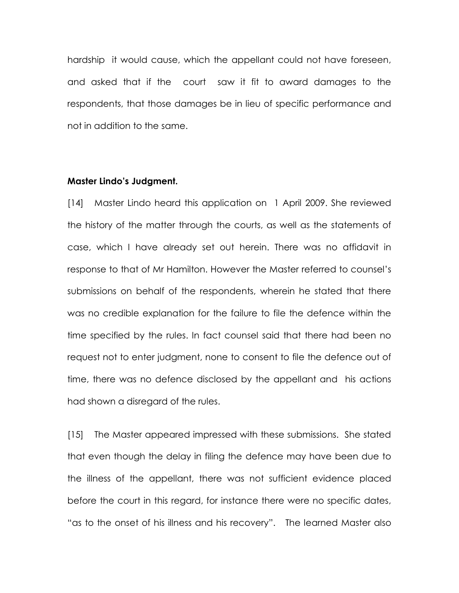hardship it would cause, which the appellant could not have foreseen, and asked that if the court saw it fit to award damages to the respondents, that those damages be in lieu of specific performance and not in addition to the same.

#### Master Lindo's Judgment.

[14] Master Lindo heard this application on 1 April 2009. She reviewed the history of the matter through the courts, as well as the statements of case, which I have already set out herein. There was no affidavit in response to that of Mr Hamilton. However the Master referred to counsel's submissions on behalf of the respondents, wherein he stated that there was no credible explanation for the failure to file the defence within the time specified by the rules. In fact counsel said that there had been no request not to enter judgment, none to consent to file the defence out of time, there was no defence disclosed by the appellant and his actions had shown a disregard of the rules.

[15] The Master appeared impressed with these submissions. She stated that even though the delay in filing the defence may have been due to the illness of the appellant, there was not sufficient evidence placed before the court in this regard, for instance there were no specific dates, "as to the onset of his illness and his recovery". The learned Master also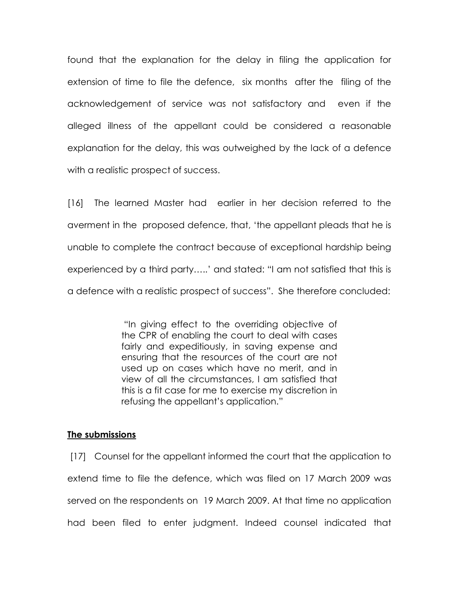found that the explanation for the delay in filing the application for extension of time to file the defence, six months after the filing of the acknowledgement of service was not satisfactory and even if the alleged illness of the appellant could be considered a reasonable explanation for the delay, this was outweighed by the lack of a defence with a realistic prospect of success.

[16] The learned Master had earlier in her decision referred to the averment in the proposed defence, that, 'the appellant pleads that he is unable to complete the contract because of exceptional hardship being experienced by a third party…..' and stated: "I am not satisfied that this is a defence with a realistic prospect of success". She therefore concluded:

> "In giving effect to the overriding objective of the CPR of enabling the court to deal with cases fairly and expeditiously, in saving expense and ensuring that the resources of the court are not used up on cases which have no merit, and in view of all the circumstances, I am satisfied that this is a fit case for me to exercise my discretion in refusing the appellant's application."

#### The submissions

 [17] Counsel for the appellant informed the court that the application to extend time to file the defence, which was filed on 17 March 2009 was served on the respondents on 19 March 2009. At that time no application had been filed to enter judgment. Indeed counsel indicated that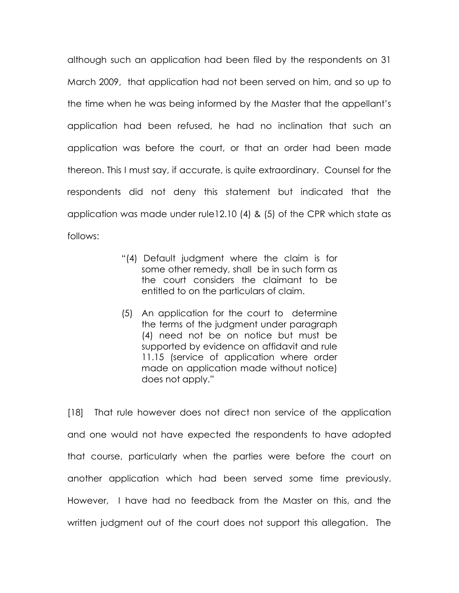although such an application had been filed by the respondents on 31 March 2009, that application had not been served on him, and so up to the time when he was being informed by the Master that the appellant's application had been refused, he had no inclination that such an application was before the court, or that an order had been made thereon. This I must say, if accurate, is quite extraordinary. Counsel for the respondents did not deny this statement but indicated that the application was made under rule12.10 (4) & (5) of the CPR which state as follows:

- "(4) Default judgment where the claim is for some other remedy, shall be in such form as the court considers the claimant to be entitled to on the particulars of claim.
- (5) An application for the court to determine the terms of the judgment under paragraph (4) need not be on notice but must be supported by evidence on affidavit and rule 11.15 (service of application where order made on application made without notice) does not apply."

[18] That rule however does not direct non service of the application and one would not have expected the respondents to have adopted that course, particularly when the parties were before the court on another application which had been served some time previously. However, I have had no feedback from the Master on this, and the written judgment out of the court does not support this allegation. The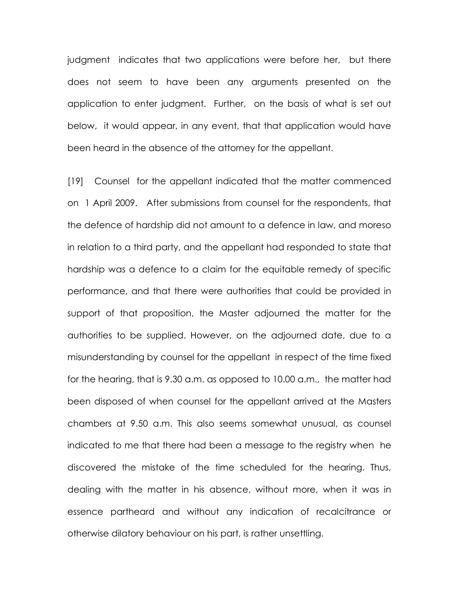judgment indicates that two applications were before her, but there does not seem to have been any arguments presented on the application to enter judgment. Further, on the basis of what is set out below, it would appear, in any event, that that application would have been heard in the absence of the attorney for the appellant.

[19] Counsel for the appellant indicated that the matter commenced on 1 April 2009. After submissions from counsel for the respondents, that the defence of hardship did not amount to a defence in law, and moreso in relation to a third party, and the appellant had responded to state that hardship was a defence to a claim for the equitable remedy of specific performance, and that there were authorities that could be provided in support of that proposition, the Master adjourned the matter for the authorities to be supplied. However, on the adjourned date, due to a misunderstanding by counsel for the appellant in respect of the time fixed for the hearing, that is 9.30 a.m. as opposed to 10.00 a.m., the matter had been disposed of when counsel for the appellant arrived at the Masters chambers at 9.50 a.m. This also seems somewhat unusual, as counsel indicated to me that there had been a message to the registry when he discovered the mistake of the time scheduled for the hearing. Thus, dealing with the matter in his absence, without more, when it was in essence partheard and without any indication of recalcitrance or otherwise dilatory behaviour on his part, is rather unsettling.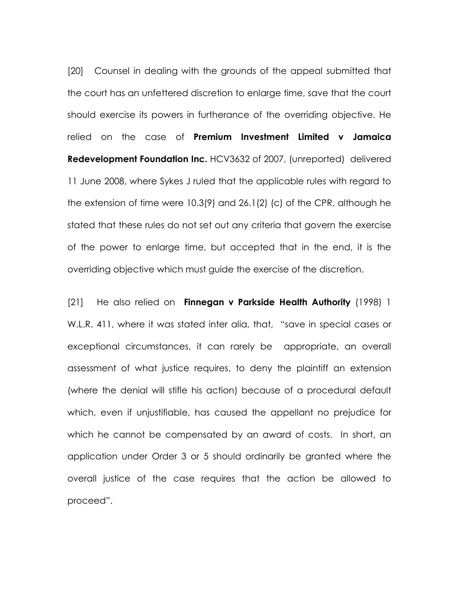[20] Counsel in dealing with the grounds of the appeal submitted that the court has an unfettered discretion to enlarge time, save that the court should exercise its powers in furtherance of the overriding objective. He relied on the case of Premium Investment Limited v Jamaica **Redevelopment Foundation Inc. HCV3632 of 2007, (unreported) delivered** 11 June 2008, where Sykes J ruled that the applicable rules with regard to the extension of time were 10.3(9) and 26.1(2) (c) of the CPR, although he stated that these rules do not set out any criteria that govern the exercise of the power to enlarge time, but accepted that in the end, it is the overriding objective which must guide the exercise of the discretion.

[21] He also relied on **Finnegan v Parkside Health Authority** (1998) 1 W.L.R. 411, where it was stated inter alia, that, "save in special cases or exceptional circumstances, it can rarely be appropriate, an overall assessment of what justice requires, to deny the plaintiff an extension (where the denial will stifle his action) because of a procedural default which, even if unjustifiable, has caused the appellant no prejudice for which he cannot be compensated by an award of costs. In short, an application under Order 3 or 5 should ordinarily be granted where the overall justice of the case requires that the action be allowed to proceed".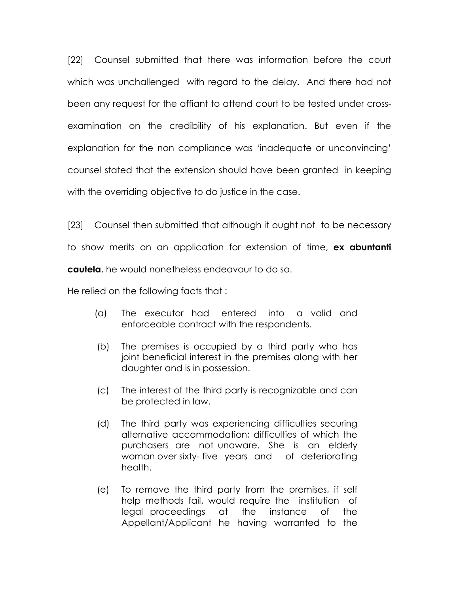[22] Counsel submitted that there was information before the court which was unchallenged with regard to the delay. And there had not been any request for the affiant to attend court to be tested under crossexamination on the credibility of his explanation. But even if the explanation for the non compliance was 'inadequate or unconvincing' counsel stated that the extension should have been granted in keeping with the overriding objective to do justice in the case.

[23] Counsel then submitted that although it ought not to be necessary to show merits on an application for extension of time, **ex abuntanti** cautela, he would nonetheless endeavour to do so.

He relied on the following facts that :

- (a) The executor had entered into a valid and enforceable contract with the respondents.
- (b) The premises is occupied by a third party who has joint beneficial interest in the premises along with her daughter and is in possession.
- (c) The interest of the third party is recognizable and can be protected in law.
- (d) The third party was experiencing difficulties securing alternative accommodation; difficulties of which the purchasers are not unaware. She is an elderly woman over sixty- five years and of deteriorating health.
- (e) To remove the third party from the premises, if self help methods fail, would require the institution of legal proceedings at the instance of the Appellant/Applicant he having warranted to the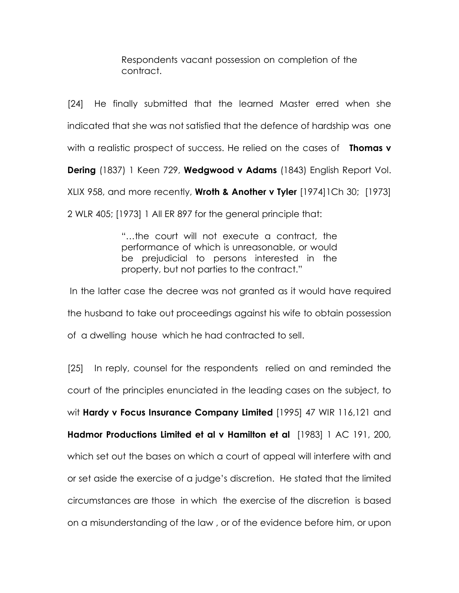Respondents vacant possession on completion of the contract.

[24] He finally submitted that the learned Master erred when she indicated that she was not satisfied that the defence of hardship was one with a realistic prospect of success. He relied on the cases of **Thomas v** Dering (1837) 1 Keen 729, Wedgwood v Adams (1843) English Report Vol. XLIX 958, and more recently, **Wroth & Another v Tyler**  $[1974]$  ICh 30;  $[1973]$ 2 WLR 405; [1973] 1 All ER 897 for the general principle that:

> "…the court will not execute a contract, the performance of which is unreasonable, or would be prejudicial to persons interested in the property, but not parties to the contract."

 In the latter case the decree was not granted as it would have required the husband to take out proceedings against his wife to obtain possession of a dwelling house which he had contracted to sell.

[25] In reply, counsel for the respondents relied on and reminded the court of the principles enunciated in the leading cases on the subject, to wit Hardy v Focus Insurance Company Limited [1995] 47 WIR 116,121 and Hadmor Productions Limited et al v Hamilton et al [1983] 1 AC 191, 200, which set out the bases on which a court of appeal will interfere with and or set aside the exercise of a judge's discretion. He stated that the limited circumstances are those in which the exercise of the discretion is based on a misunderstanding of the law , or of the evidence before him, or upon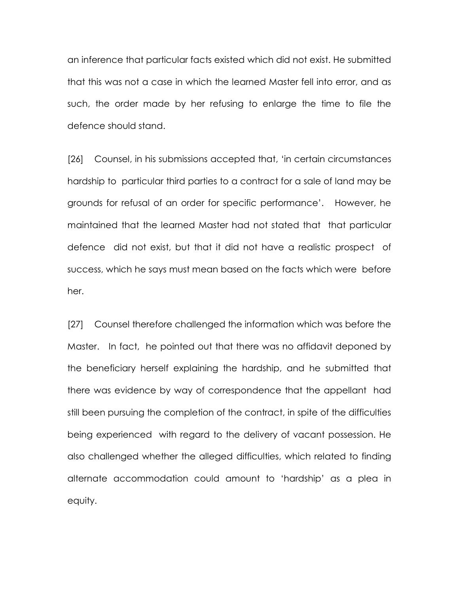an inference that particular facts existed which did not exist. He submitted that this was not a case in which the learned Master fell into error, and as such, the order made by her refusing to enlarge the time to file the defence should stand.

[26] Counsel, in his submissions accepted that, 'in certain circumstances hardship to particular third parties to a contract for a sale of land may be grounds for refusal of an order for specific performance'. However, he maintained that the learned Master had not stated that that particular defence did not exist, but that it did not have a realistic prospect of success, which he says must mean based on the facts which were before her.

[27] Counsel therefore challenged the information which was before the Master. In fact, he pointed out that there was no affidavit deponed by the beneficiary herself explaining the hardship, and he submitted that there was evidence by way of correspondence that the appellant had still been pursuing the completion of the contract, in spite of the difficulties being experienced with regard to the delivery of vacant possession. He also challenged whether the alleged difficulties, which related to finding alternate accommodation could amount to 'hardship' as a plea in equity.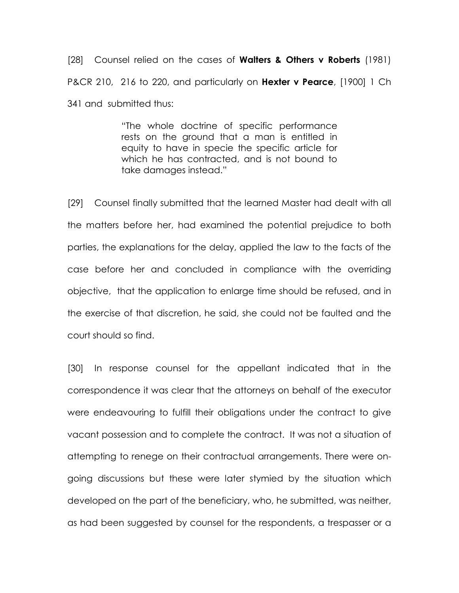[28] Counsel relied on the cases of **Walters & Others v Roberts** (1981) P&CR 210, 216 to 220, and particularly on Hexter v Pearce, [1900] 1 Ch 341 and submitted thus:

> "The whole doctrine of specific performance rests on the ground that a man is entitled in equity to have in specie the specific article for which he has contracted, and is not bound to take damages instead."

[29] Counsel finally submitted that the learned Master had dealt with all the matters before her, had examined the potential prejudice to both parties, the explanations for the delay, applied the law to the facts of the case before her and concluded in compliance with the overriding objective, that the application to enlarge time should be refused, and in the exercise of that discretion, he said, she could not be faulted and the court should so find.

[30] In response counsel for the appellant indicated that in the correspondence it was clear that the attorneys on behalf of the executor were endeavouring to fulfill their obligations under the contract to give vacant possession and to complete the contract. It was not a situation of attempting to renege on their contractual arrangements. There were ongoing discussions but these were later stymied by the situation which developed on the part of the beneficiary, who, he submitted, was neither, as had been suggested by counsel for the respondents, a trespasser or a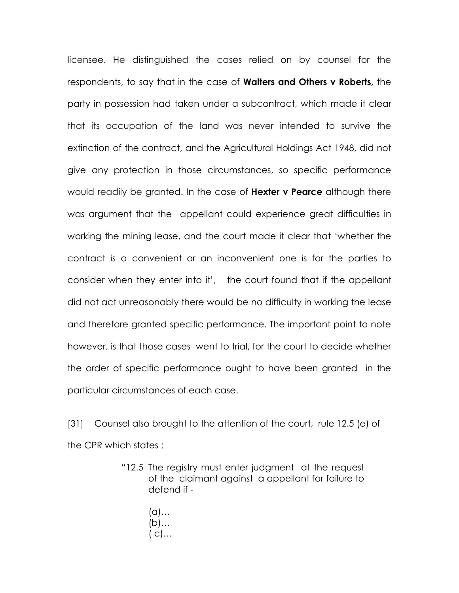licensee. He distinguished the cases relied on by counsel for the respondents, to say that in the case of **Walters and Others v Roberts**, the party in possession had taken under a subcontract, which made it clear that its occupation of the land was never intended to survive the extinction of the contract, and the Agricultural Holdings Act 1948, did not give any protection in those circumstances, so specific performance would readily be granted. In the case of **Hexter v Pearce** although there was argument that the appellant could experience great difficulties in working the mining lease, and the court made it clear that 'whether the contract is a convenient or an inconvenient one is for the parties to consider when they enter into it', the court found that if the appellant did not act unreasonably there would be no difficulty in working the lease and therefore granted specific performance. The important point to note however, is that those cases went to trial, for the court to decide whether the order of specific performance ought to have been granted in the particular circumstances of each case.

[31] Counsel also brought to the attention of the court, rule 12.5 (e) of the CPR which states :

- "12.5 The registry must enter judgment at the request of the claimant against a appellant for failure to defend if -
	- (a)… (b)…  $(C)$ …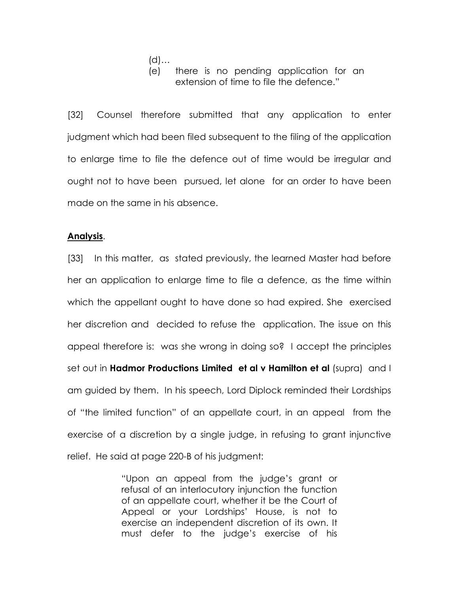(d)…

# (e) there is no pending application for an extension of time to file the defence."

[32] Counsel therefore submitted that any application to enter judgment which had been filed subsequent to the filing of the application to enlarge time to file the defence out of time would be irregular and ought not to have been pursued, let alone for an order to have been made on the same in his absence.

## Analysis.

[33] In this matter, as stated previously, the learned Master had before her an application to enlarge time to file a defence, as the time within which the appellant ought to have done so had expired. She exercised her discretion and decided to refuse the application. The issue on this appeal therefore is: was she wrong in doing so? I accept the principles set out in **Hadmor Productions Limited et al v Hamilton et al** (supra) and I am guided by them. In his speech, Lord Diplock reminded their Lordships of "the limited function" of an appellate court, in an appeal from the exercise of a discretion by a single judge, in refusing to grant injunctive relief. He said at page 220-B of his judgment:

> "Upon an appeal from the judge's grant or refusal of an interlocutory injunction the function of an appellate court, whether it be the Court of Appeal or your Lordships' House, is not to exercise an independent discretion of its own. It must defer to the judge's exercise of his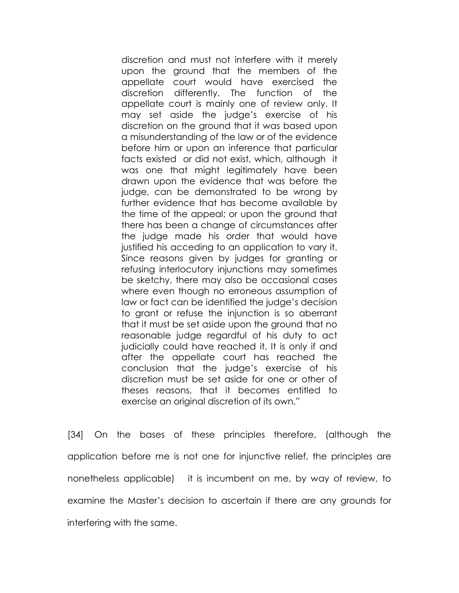discretion and must not interfere with it merely upon the ground that the members of the appellate court would have exercised the discretion differently. The function of the appellate court is mainly one of review only. It may set aside the judge's exercise of his discretion on the ground that it was based upon a misunderstanding of the law or of the evidence before him or upon an inference that particular facts existed or did not exist, which, although it was one that might legitimately have been drawn upon the evidence that was before the judge, can be demonstrated to be wrong by further evidence that has become available by the time of the appeal; or upon the ground that there has been a change of circumstances after the judge made his order that would have justified his acceding to an application to vary it. Since reasons given by judges for granting or refusing interlocutory injunctions may sometimes be sketchy, there may also be occasional cases where even though no erroneous assumption of law or fact can be identified the judge's decision to grant or refuse the injunction is so aberrant that it must be set aside upon the ground that no reasonable judge regardful of his duty to act judicially could have reached it. It is only if and after the appellate court has reached the conclusion that the judge's exercise of his discretion must be set aside for one or other of theses reasons, that it becomes entitled to exercise an original discretion of its own."

[34] On the bases of these principles therefore, (although the application before me is not one for injunctive relief, the principles are nonetheless applicable) it is incumbent on me, by way of review, to examine the Master's decision to ascertain if there are any grounds for interfering with the same.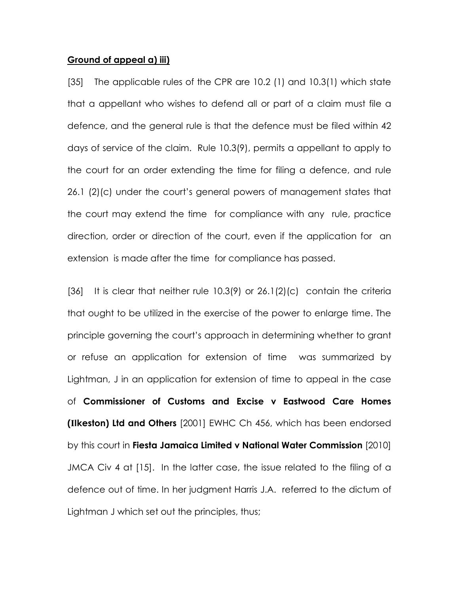#### Ground of appeal a) iii)

[35] The applicable rules of the CPR are 10.2 (1) and 10.3(1) which state that a appellant who wishes to defend all or part of a claim must file a defence, and the general rule is that the defence must be filed within 42 days of service of the claim. Rule 10.3(9), permits a appellant to apply to the court for an order extending the time for filing a defence, and rule 26.1 (2)(c) under the court's general powers of management states that the court may extend the time for compliance with any rule, practice direction, order or direction of the court, even if the application for an extension is made after the time for compliance has passed.

[36] It is clear that neither rule 10.3(9) or 26.1(2)(c) contain the criteria that ought to be utilized in the exercise of the power to enlarge time. The principle governing the court's approach in determining whether to grant or refuse an application for extension of time was summarized by Lightman, J in an application for extension of time to appeal in the case of Commissioner of Customs and Excise v Eastwood Care Homes (**I**Ikeston) Ltd and Others [2001] EWHC Ch 456, which has been endorsed by this court in Fiesta Jamaica Limited v National Water Commission [2010] JMCA Civ 4 at [15]. In the latter case, the issue related to the filing of a defence out of time. In her judgment Harris J.A. referred to the dictum of Lightman J which set out the principles, thus;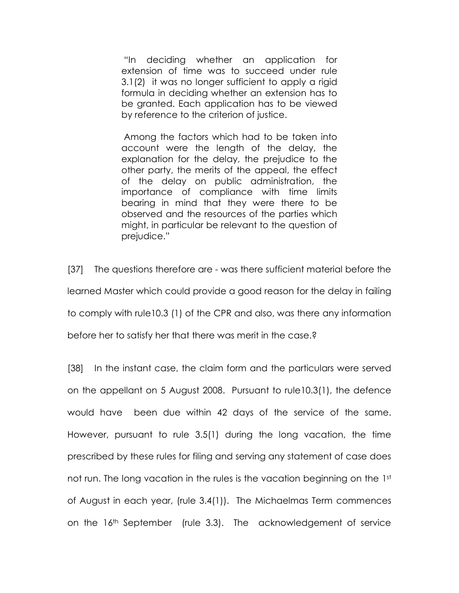"In deciding whether an application for extension of time was to succeed under rule 3.1(2) it was no longer sufficient to apply a rigid formula in deciding whether an extension has to be granted. Each application has to be viewed by reference to the criterion of justice.

 Among the factors which had to be taken into account were the length of the delay, the explanation for the delay, the prejudice to the other party, the merits of the appeal, the effect of the delay on public administration, the importance of compliance with time limits bearing in mind that they were there to be observed and the resources of the parties which might, in particular be relevant to the question of prejudice."

[37] The questions therefore are - was there sufficient material before the learned Master which could provide a good reason for the delay in failing to comply with rule10.3 (1) of the CPR and also, was there any information before her to satisfy her that there was merit in the case.?

[38] In the instant case, the claim form and the particulars were served on the appellant on 5 August 2008. Pursuant to rule10.3(1), the defence would have been due within 42 days of the service of the same. However, pursuant to rule 3.5(1) during the long vacation, the time prescribed by these rules for filing and serving any statement of case does not run. The long vacation in the rules is the vacation beginning on the 1st of August in each year, (rule 3.4(1)). The Michaelmas Term commences on the 16th September (rule 3.3). The acknowledgement of service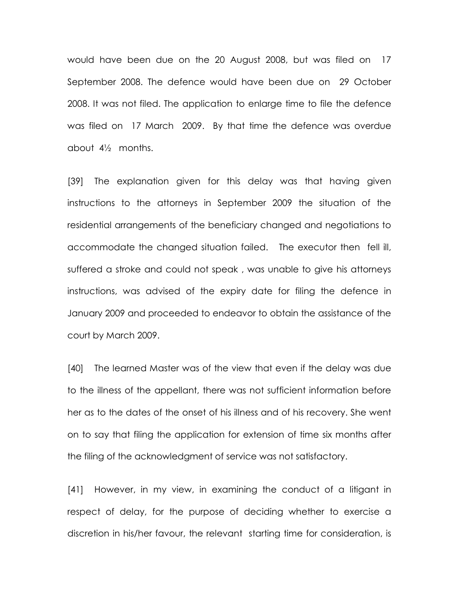would have been due on the 20 August 2008, but was filed on 17 September 2008. The defence would have been due on 29 October 2008. It was not filed. The application to enlarge time to file the defence was filed on 17 March 2009. By that time the defence was overdue about 4½ months.

[39] The explanation given for this delay was that having given instructions to the attorneys in September 2009 the situation of the residential arrangements of the beneficiary changed and negotiations to accommodate the changed situation failed. The executor then fell ill, suffered a stroke and could not speak , was unable to give his attorneys instructions, was advised of the expiry date for filing the defence in January 2009 and proceeded to endeavor to obtain the assistance of the court by March 2009.

[40] The learned Master was of the view that even if the delay was due to the illness of the appellant, there was not sufficient information before her as to the dates of the onset of his illness and of his recovery. She went on to say that filing the application for extension of time six months after the filing of the acknowledgment of service was not satisfactory.

[41] However, in my view, in examining the conduct of a litigant in respect of delay, for the purpose of deciding whether to exercise a discretion in his/her favour, the relevant starting time for consideration, is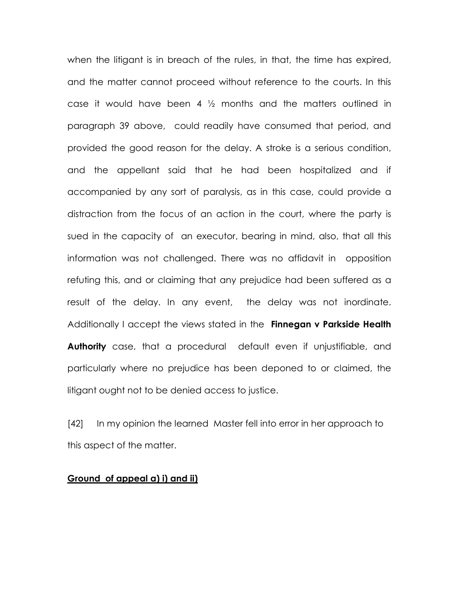when the litigant is in breach of the rules, in that, the time has expired, and the matter cannot proceed without reference to the courts. In this case it would have been 4 ½ months and the matters outlined in paragraph 39 above, could readily have consumed that period, and provided the good reason for the delay. A stroke is a serious condition, and the appellant said that he had been hospitalized and if accompanied by any sort of paralysis, as in this case, could provide a distraction from the focus of an action in the court, where the party is sued in the capacity of an executor, bearing in mind, also, that all this information was not challenged. There was no affidavit in opposition refuting this, and or claiming that any prejudice had been suffered as a result of the delay. In any event, the delay was not inordinate. Additionally I accept the views stated in the **Finnegan v Parkside Health** Authority case, that a procedural default even if unjustifiable, and particularly where no prejudice has been deponed to or claimed, the litigant ought not to be denied access to justice.

[42] In my opinion the learned Master fell into error in her approach to this aspect of the matter.

#### Ground of appeal a) i) and ii)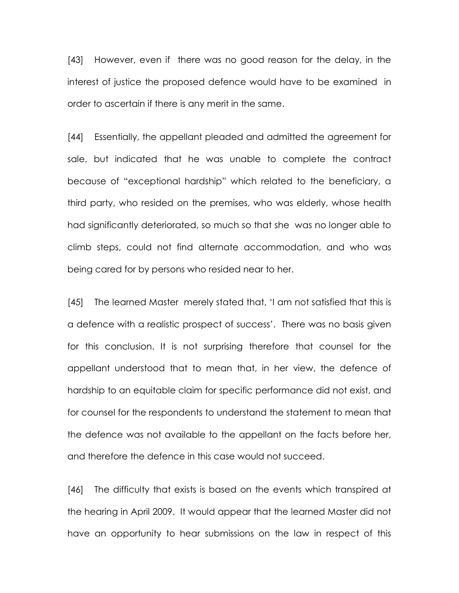[43] However, even if there was no good reason for the delay, in the interest of justice the proposed defence would have to be examined in order to ascertain if there is any merit in the same.

[44] Essentially, the appellant pleaded and admitted the agreement for sale, but indicated that he was unable to complete the contract because of "exceptional hardship" which related to the beneficiary, a third party, who resided on the premises, who was elderly, whose health had significantly deteriorated, so much so that she was no longer able to climb steps, could not find alternate accommodation, and who was being cared for by persons who resided near to her.

[45] The learned Master merely stated that, 'I am not satisfied that this is a defence with a realistic prospect of success'. There was no basis given for this conclusion. It is not surprising therefore that counsel for the appellant understood that to mean that, in her view, the defence of hardship to an equitable claim for specific performance did not exist, and for counsel for the respondents to understand the statement to mean that the defence was not available to the appellant on the facts before her, and therefore the defence in this case would not succeed.

[46] The difficulty that exists is based on the events which transpired at the hearing in April 2009. It would appear that the learned Master did not have an opportunity to hear submissions on the law in respect of this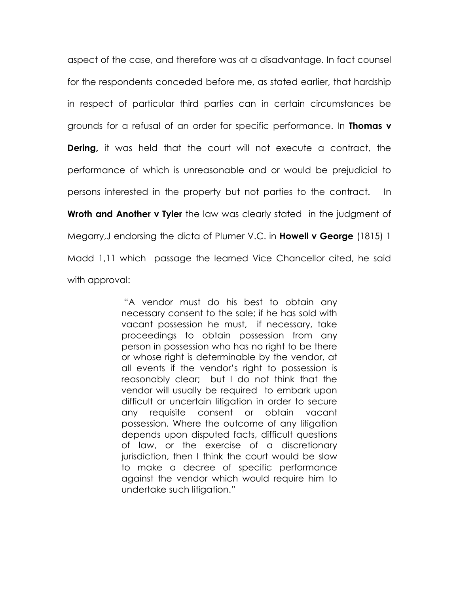aspect of the case, and therefore was at a disadvantage. In fact counsel for the respondents conceded before me, as stated earlier, that hardship in respect of particular third parties can in certain circumstances be grounds for a refusal of an order for specific performance. In Thomas v **Dering,** it was held that the court will not execute a contract, the performance of which is unreasonable and or would be prejudicial to persons interested in the property but not parties to the contract. In Wroth and Another v Tyler the law was clearly stated in the judgment of Megarry, J endorsing the dicta of Plumer V.C. in **Howell v George** (1815) 1 Madd 1,11 which passage the learned Vice Chancellor cited, he said with approval:

> "A vendor must do his best to obtain any necessary consent to the sale; if he has sold with vacant possession he must, if necessary, take proceedings to obtain possession from any person in possession who has no right to be there or whose right is determinable by the vendor, at all events if the vendor's right to possession is reasonably clear; but I do not think that the vendor will usually be required to embark upon difficult or uncertain litigation in order to secure any requisite consent or obtain vacant possession. Where the outcome of any litigation depends upon disputed facts, difficult questions of law, or the exercise of a discretionary jurisdiction, then I think the court would be slow to make a decree of specific performance against the vendor which would require him to undertake such litigation."